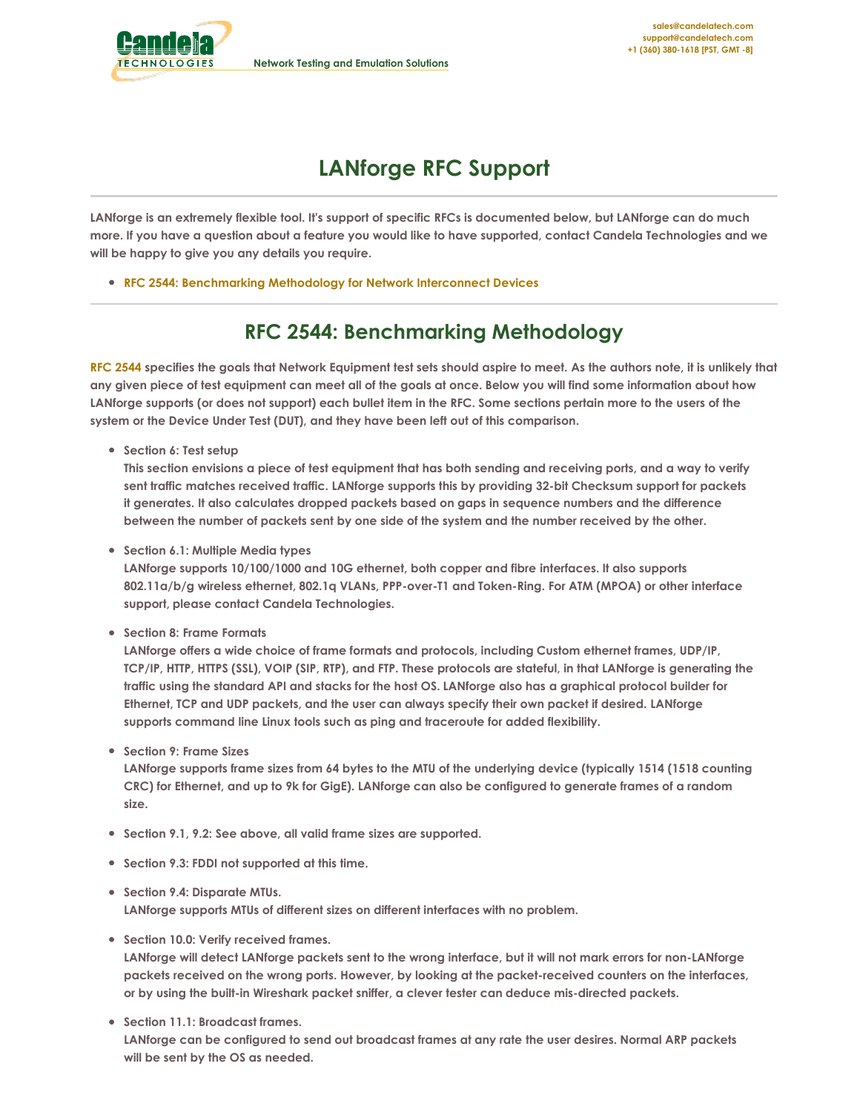

<span id="page-0-0"></span>

## **LANforge RFC Support**

LANforge is an extremely flexible tool. It's support of specific RFCs is documented below, but LANforge can do much more. If you have a question about a feature you would like to have supported, contact Candela Technologies and we **will be happy to give you any details you require.**

**RFC 2544: [Benchmarking](#page-0-0) Methodology for Network Interconnect Devices**

## **RFC 2544: Benchmarking Methodology**

RFC [2544](http://www.ietf.org/rfc/rfc2544.txt) specifies the goals that Network Equipment test sets should aspire to meet. As the authors note, it is unlikely that any given piece of test equipment can meet all of the goals at once. Below you will find some information about how LANforge supports (or does not support) each bullet item in the RFC. Some sections pertain more to the users of the **system or the Device Under Test (DUT), and they have been left out of this comparison.**

**Section 6: Test setup**

This section envisions a piece of test equipment that has both sending and receiving ports, and a way to verify **sent traffic matches received traffic. LANforge supports this by providing 32-bit Checksum support for packets it generates. It also calculates dropped packets based on gaps in sequence numbers and the difference** between the number of packets sent by one side of the system and the number received by the other.

**Section 6.1: Multiple Media types**

**LANforge supports 10/100/1000 and 10G ethernet, both copper and fibre interfaces. It also supports 802.11a/b/g wireless ethernet, 802.1q VLANs, PPP-over-T1 and Token-Ring. For ATM (MPOA) or other interface support, please contact Candela Technologies.**

**Section 8: Frame Formats**

**LANforge offers a wide choice of frame formats and protocols, including Custom ethernet frames, UDP/IP,** TCP/IP, HTTP, HTTPS (SSL), VOIP (SIP, RTP), and FTP. These protocols are stateful, in that LANforge is generating the traffic using the standard API and stacks for the host OS. LANforge also has a graphical protocol builder for **Ethernet, TCP and UDP packets, and the user can always specify their own packet if desired. LANforge supports command line Linux tools such as ping and traceroute for added flexibility.**

**Section 9: Frame Sizes**

LANforge supports frame sizes from 64 bytes to the MTU of the underlying device (typically 1514 (1518 counting CRC) for Ethernet, and up to 9k for GigE). LANforge can also be configured to generate frames of a random **size.**

- **Section 9.1, 9.2: See above, all valid frame sizes are supported.**
- **Section 9.3: FDDI not supported at this time.**
- **Section 9.4: Disparate MTUs.**

**LANforge supports MTUs of different sizes on different interfaces with no problem.**

**Section 10.0: Verify received frames.**

LANforge will detect LANforge packets sent to the wrong interface, but it will not mark errors for non-LANforge **packets received on the wrong ports. However, by looking at the packet-received counters on the interfaces, or by using the built-in Wireshark packet sniffer, a clever tester can deduce mis-directed packets.**

**Section 11.1: Broadcast frames.** LANforge can be configured to send out broadcast frames at any rate the user desires. Normal ARP packets **will be sent by the OS as needed.**